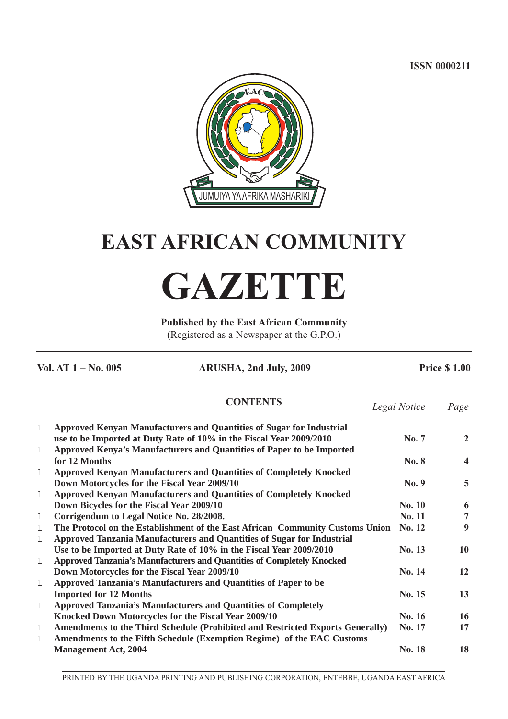**ISSN 0000211**



# **EAST AFRICAN COMMUNITY**

# **GAZETTE**

**Published by the East African Community**

(Registered as a Newspaper at the G.P.O.)

|   | Vol. AT $1 - No. 005$                                                 | ARUSHA, 2nd July, 2009                                                                |              | <b>Price \$1.00</b>     |
|---|-----------------------------------------------------------------------|---------------------------------------------------------------------------------------|--------------|-------------------------|
|   |                                                                       | <b>CONTENTS</b>                                                                       | Legal Notice | Page                    |
| 1 |                                                                       | Approved Kenyan Manufacturers and Quantities of Sugar for Industrial                  |              |                         |
|   |                                                                       | use to be Imported at Duty Rate of 10% in the Fiscal Year 2009/2010                   | No. 7        | $\overline{2}$          |
| 1 |                                                                       | Approved Kenya's Manufacturers and Quantities of Paper to be Imported                 |              |                         |
|   | for 12 Months                                                         |                                                                                       | <b>No. 8</b> | $\overline{\mathbf{4}}$ |
| 1 |                                                                       | <b>Approved Kenyan Manufacturers and Quantities of Completely Knocked</b>             |              |                         |
|   | Down Motorcycles for the Fiscal Year 2009/10                          |                                                                                       | No. 9        | $\overline{5}$          |
| 1 |                                                                       | <b>Approved Kenyan Manufacturers and Quantities of Completely Knocked</b>             |              |                         |
|   | Down Bicycles for the Fiscal Year 2009/10                             |                                                                                       | No. 10       | 6                       |
| 1 | Corrigendum to Legal Notice No. 28/2008.                              |                                                                                       | No. 11       | $\overline{7}$          |
| 1 |                                                                       | The Protocol on the Establishment of the East African Community Customs Union         | No. 12       | $\boldsymbol{9}$        |
| 1 |                                                                       | Approved Tanzania Manufacturers and Quantities of Sugar for Industrial                |              |                         |
|   |                                                                       | Use to be Imported at Duty Rate of 10% in the Fiscal Year 2009/2010                   | No. 13       | 10                      |
| 1 |                                                                       | Approved Tanzania's Manufacturers and Quantities of Completely Knocked                |              |                         |
|   | Down Motorcycles for the Fiscal Year 2009/10                          |                                                                                       | No. 14       | 12                      |
| 1 | Approved Tanzania's Manufacturers and Quantities of Paper to be       |                                                                                       |              |                         |
|   | <b>Imported for 12 Months</b>                                         |                                                                                       | No. 15       | 13                      |
| 1 | <b>Approved Tanzania's Manufacturers and Quantities of Completely</b> |                                                                                       |              |                         |
|   | Knocked Down Motorcycles for the Fiscal Year 2009/10                  |                                                                                       | No. 16       | 16                      |
| 1 |                                                                       | <b>Amendments to the Third Schedule (Prohibited and Restricted Exports Generally)</b> | No. 17       | 17                      |
| 1 |                                                                       | Amendments to the Fifth Schedule (Exemption Regime) of the EAC Customs                |              |                         |
|   | <b>Management Act, 2004</b>                                           |                                                                                       | No. 18       | 18                      |
|   |                                                                       |                                                                                       |              |                         |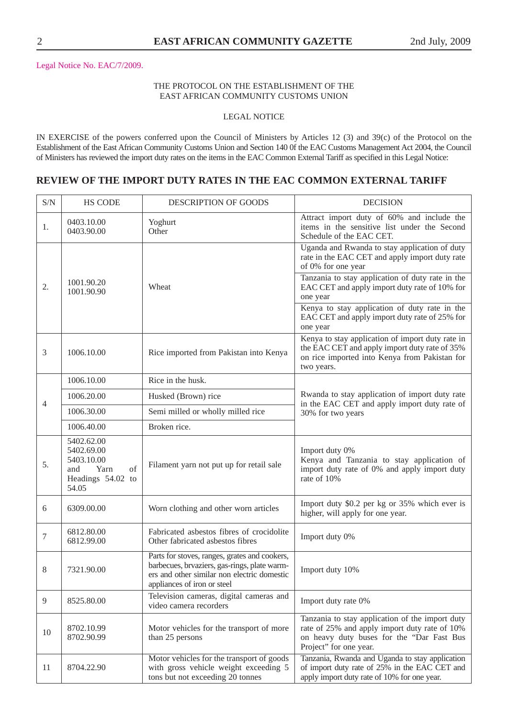# THE PROTOCOL ON THE ESTABLISHMENT OF THE EAST AFRICAN COMMUNITY CUSTOMS UNION

# LEGAL NOTICE

IN EXERCISE of the powers conferred upon the Council of Ministers by Articles 12 (3) and 39(c) of the Protocol on the Establishment of the East African Community Customs Union and Section 140 0f the EAC Customs Management Act 2004, the Council of Ministers has reviewed the import duty rates on the items in the EAC Common External Tariff as specified in this Legal Notice:

# **REVIEW OF THE IMPORT DUTY RATES IN THE EAC COMMON EXTERNAL TARIFF**

| S/N            | <b>HS CODE</b>                                                                            | DESCRIPTION OF GOODS                                                                                                                                                        | <b>DECISION</b>                                                                                                                                                         |  |  |
|----------------|-------------------------------------------------------------------------------------------|-----------------------------------------------------------------------------------------------------------------------------------------------------------------------------|-------------------------------------------------------------------------------------------------------------------------------------------------------------------------|--|--|
| 1.             | 0403.10.00<br>0403.90.00                                                                  | Yoghurt<br>Other                                                                                                                                                            | Attract import duty of 60% and include the<br>items in the sensitive list under the Second<br>Schedule of the EAC CET.                                                  |  |  |
|                |                                                                                           |                                                                                                                                                                             | Uganda and Rwanda to stay application of duty<br>rate in the EAC CET and apply import duty rate<br>of 0% for one year                                                   |  |  |
| 2.             | 1001.90.20<br>1001.90.90                                                                  | Wheat                                                                                                                                                                       | Tanzania to stay application of duty rate in the<br>EAC CET and apply import duty rate of 10% for<br>one year                                                           |  |  |
|                |                                                                                           |                                                                                                                                                                             | Kenya to stay application of duty rate in the<br>EAC CET and apply import duty rate of 25% for<br>one year                                                              |  |  |
| 3              | 1006.10.00                                                                                | Rice imported from Pakistan into Kenya                                                                                                                                      | Kenya to stay application of import duty rate in<br>the EAC CET and apply import duty rate of 35%<br>on rice imported into Kenya from Pakistan for<br>two years.        |  |  |
|                | 1006.10.00                                                                                | Rice in the husk.                                                                                                                                                           |                                                                                                                                                                         |  |  |
|                | 1006.20.00                                                                                | Husked (Brown) rice                                                                                                                                                         | Rwanda to stay application of import duty rate<br>in the EAC CET and apply import duty rate of                                                                          |  |  |
| 4              | 1006.30.00                                                                                | Semi milled or wholly milled rice                                                                                                                                           | 30% for two years                                                                                                                                                       |  |  |
|                | 1006.40.00                                                                                | Broken rice.                                                                                                                                                                |                                                                                                                                                                         |  |  |
| 5.             | 5402.62.00<br>5402.69.00<br>5403.10.00<br>of<br>Yarn<br>and<br>Headings 54.02 to<br>54.05 | Filament yarn not put up for retail sale                                                                                                                                    | Import duty 0%<br>Kenya and Tanzania to stay application of<br>import duty rate of 0% and apply import duty<br>rate of 10%                                              |  |  |
| 6              | 6309.00.00                                                                                | Worn clothing and other worn articles                                                                                                                                       | Import duty \$0.2 per kg or 35% which ever is<br>higher, will apply for one year.                                                                                       |  |  |
| 7              | 6812.80.00<br>6812.99.00                                                                  | Fabricated asbestos fibres of crocidolite<br>Other fabricated asbestos fibres                                                                                               | Import duty 0%                                                                                                                                                          |  |  |
| 8              | 7321.90.00                                                                                | Parts for stoves, ranges, grates and cookers,<br>barbecues, brvaziers, gas-rings, plate warm-<br>ers and other similar non electric domestic<br>appliances of iron or steel | Import duty 10%                                                                                                                                                         |  |  |
| $\overline{9}$ | 8525.80.00                                                                                | Television cameras, digital cameras and<br>video camera recorders                                                                                                           | Import duty rate 0%                                                                                                                                                     |  |  |
| 10             | 8702.10.99<br>Motor vehicles for the transport of more<br>8702.90.99<br>than 25 persons   |                                                                                                                                                                             | Tanzania to stay application of the import duty<br>rate of 25% and apply import duty rate of 10%<br>on heavy duty buses for the "Dar Fast Bus<br>Project" for one year. |  |  |
| 11             | 8704.22.90                                                                                | Motor vehicles for the transport of goods<br>with gross vehicle weight exceeding 5<br>tons but not exceeding 20 tonnes                                                      | Tanzania, Rwanda and Uganda to stay application<br>of import duty rate of 25% in the EAC CET and<br>apply import duty rate of 10% for one year.                         |  |  |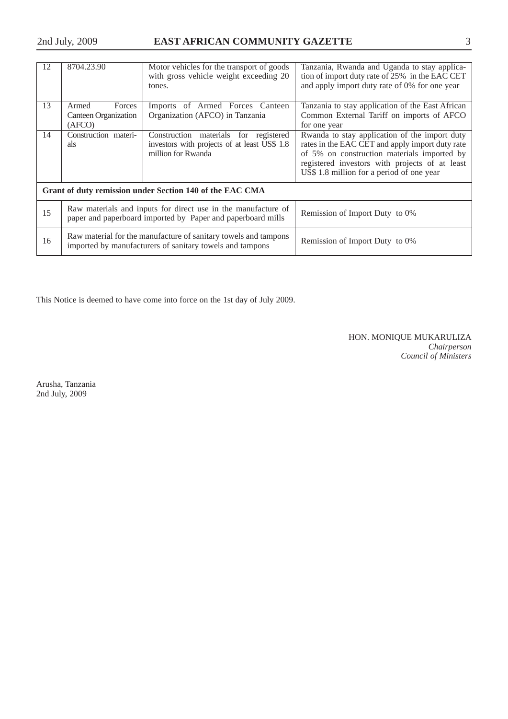| 12 | 8704.23.90                                               | Motor vehicles for the transport of goods<br>with gross vehicle weight exceeding 20<br>tones.                                | Tanzania, Rwanda and Uganda to stay applica-<br>tion of import duty rate of 25% in the EAC CET<br>and apply import duty rate of 0% for one year                                                                                                |  |  |  |  |
|----|----------------------------------------------------------|------------------------------------------------------------------------------------------------------------------------------|------------------------------------------------------------------------------------------------------------------------------------------------------------------------------------------------------------------------------------------------|--|--|--|--|
| 13 | Forces<br>Armed<br><b>Canteen Organization</b><br>(AFCO) | Imports of Armed Forces Canteen<br>Organization (AFCO) in Tanzania                                                           | Tanzania to stay application of the East African<br>Common External Tariff on imports of AFCO<br>for one year                                                                                                                                  |  |  |  |  |
| 14 | Construction materi-<br>als                              | Construction materials for registered<br>investors with projects of at least US\$ 1.8<br>million for Rwanda                  | Rwanda to stay application of the import duty<br>rates in the EAC CET and apply import duty rate<br>of 5% on construction materials imported by<br>registered investors with projects of at least<br>US\$ 1.8 million for a period of one year |  |  |  |  |
|    | Grant of duty remission under Section 140 of the EAC CMA |                                                                                                                              |                                                                                                                                                                                                                                                |  |  |  |  |
| 15 |                                                          | Raw materials and inputs for direct use in the manufacture of<br>paper and paperboard imported by Paper and paperboard mills | Remission of Import Duty to 0%                                                                                                                                                                                                                 |  |  |  |  |
| 16 |                                                          | Raw material for the manufacture of sanitary towels and tampons<br>imported by manufacturers of sanitary towels and tampons  | Remission of Import Duty to 0%                                                                                                                                                                                                                 |  |  |  |  |

This Notice is deemed to have come into force on the 1st day of July 2009.

HON. MONIQUE MUKARULIZA *Chairperson Council of Ministers*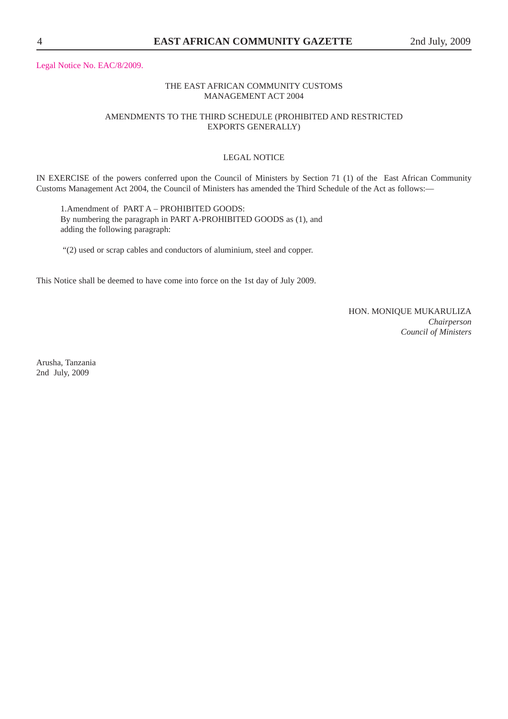4 **EAST AFRICAN COMMUNITY GAZETTE** 2nd July, 2009

Legal Notice No. EAC/8/2009.

# THE EAST AFRICAN COMMUNITY CUSTOMS MANAGEMENT ACT 2004

# AMENDMENTS TO THE THIRD SCHEDULE (PROHIBITED AND RESTRICTED EXPORTS GENERALLY)

# LEGAL NOTICE

IN EXERCISE of the powers conferred upon the Council of Ministers by Section 71 (1) of the East African Community Customs Management Act 2004, the Council of Ministers has amended the Third Schedule of the Act as follows:—

1.Amendment of PART A – PROHIBITED GOODS: By numbering the paragraph in PART A-PROHIBITED GOODS as (1), and adding the following paragraph:

"(2) used or scrap cables and conductors of aluminium, steel and copper.

This Notice shall be deemed to have come into force on the 1st day of July 2009.

HON. MONIQUE MUKARULIZA *Chairperson Council of Ministers*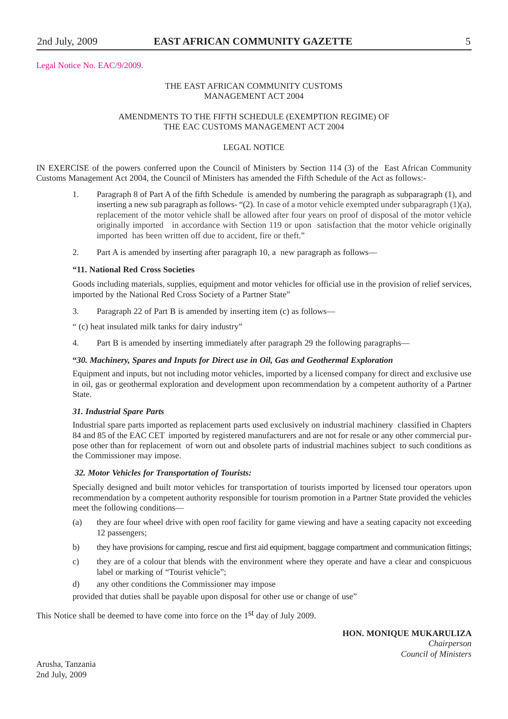Legal Notice No. EAC/9/2009.

# THE EAST AFRICAN COMMUNITY CUSTOMS MANAGEMENT ACT 2004

# AMENDMENTS TO THE FIFTH SCHEDULE (EXEMPTION REGIME) OF THE EAC CUSTOMS MANAGEMENT ACT 2004

# LEGAL NOTICE

IN EXERCISE of the powers conferred upon the Council of Ministers by Section 114 (3) of the East African Community Customs Management Act 2004, the Council of Ministers has amended the Fifth Schedule of the Act as follows:-

- 1. Paragraph 8 of Part A of the fifth Schedule is amended by numbering the paragraph as subparagraph (1), and inserting a new sub paragraph as follows- "(2). In case of a motor vehicle exempted under subparagraph (1)(a), replacement of the motor vehicle shall be allowed after four years on proof of disposal of the motor vehicle originally imported in accordance with Section 119 or upon satisfaction that the motor vehicle originally imported has been written off due to accident, fire or theft."
- 2. Part A is amended by inserting after paragraph 10, a new paragraph as follows—

#### **"11. National Red Cross Societies**

Goods including materials, supplies, equipment and motor vehicles for official use in the provision of relief services, imported by the National Red Cross Society of a Partner State"

3. Paragraph 22 of Part B is amended by inserting item (c) as follows—

" (c) heat insulated milk tanks for dairy industry"

4. Part B is amended by inserting immediately after paragraph 29 the following paragraphs—

#### **"***30. Machinery, Spares and Inputs for Direct use in Oil, Gas and Geothermal Exploration*

Equipment and inputs, but not including motor vehicles, imported by a licensed company for direct and exclusive use in oil, gas or geothermal exploration and development upon recommendation by a competent authority of a Partner State.

#### *31. Industrial Spare Parts*

Industrial spare parts imported as replacement parts used exclusively on industrial machinery classified in Chapters 84 and 85 of the EAC CET imported by registered manufacturers and are not for resale or any other commercial purpose other than for replacement of worn out and obsolete parts of industrial machines subject to such conditions as the Commissioner may impose.

#### *32. Motor Vehicles for Transportation of Tourists:*

Specially designed and built motor vehicles for transportation of tourists imported by licensed tour operators upon recommendation by a competent authority responsible for tourism promotion in a Partner State provided the vehicles meet the following conditions—

- (a) they are four wheel drive with open roof facility for game viewing and have a seating capacity not exceeding 12 passengers;
- b) they have provisions for camping, rescue and first aid equipment, baggage compartment and communication fittings;
- c) they are of a colour that blends with the environment where they operate and have a clear and conspicuous label or marking of "Tourist vehicle";
- d) any other conditions the Commissioner may impose

provided that duties shall be payable upon disposal for other use or change of use"

This Notice shall be deemed to have come into force on the 1<sup>st</sup> day of July 2009.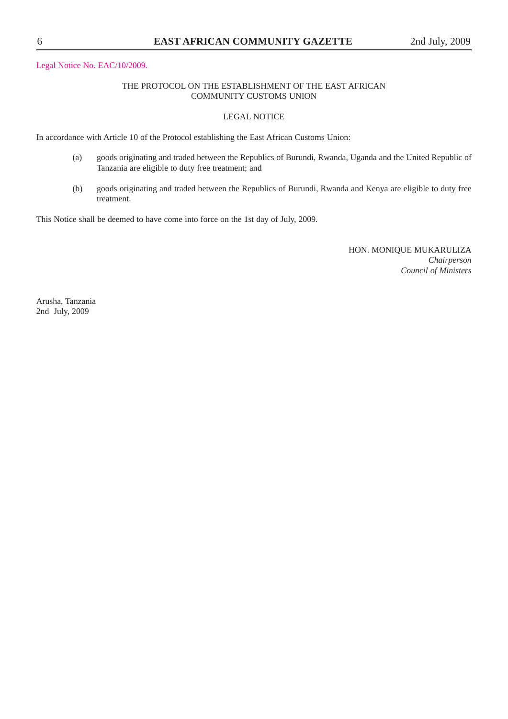Legal Notice No. EAC/10/2009.

# THE PROTOCOL ON THE ESTABLISHMENT OF THE EAST AFRICAN COMMUNITY CUSTOMS UNION

# LEGAL NOTICE

In accordance with Article 10 of the Protocol establishing the East African Customs Union:

- (a) goods originating and traded between the Republics of Burundi, Rwanda, Uganda and the United Republic of Tanzania are eligible to duty free treatment; and
- (b) goods originating and traded between the Republics of Burundi, Rwanda and Kenya are eligible to duty free treatment.

This Notice shall be deemed to have come into force on the 1st day of July, 2009.

HON. MONIQUE MUKARULIZA *Chairperson Council of Ministers*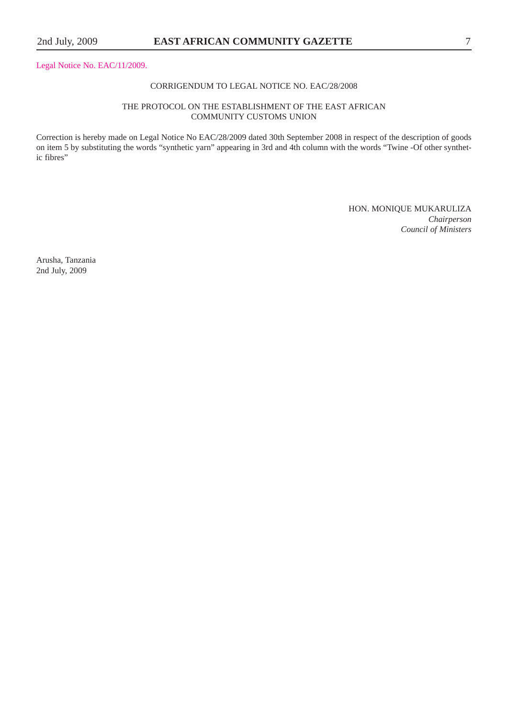Legal Notice No. EAC/11/2009.

#### CORRIGENDUM TO LEGAL NOTICE NO. EAC/28/2008

# THE PROTOCOL ON THE ESTABLISHMENT OF THE EAST AFRICAN COMMUNITY CUSTOMS UNION

Correction is hereby made on Legal Notice No EAC/28/2009 dated 30th September 2008 in respect of the description of goods on item 5 by substituting the words "synthetic yarn" appearing in 3rd and 4th column with the words "Twine -Of other synthetic fibres"

> HON. MONIQUE MUKARULIZA *Chairperson Council of Ministers*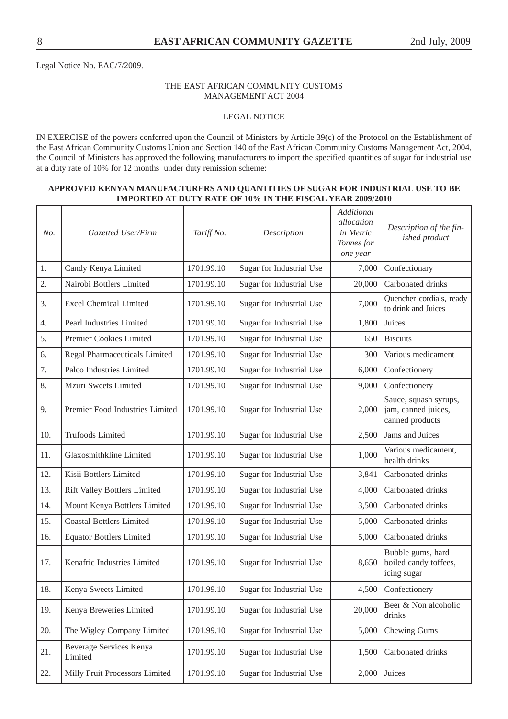Legal Notice No. EAC/7/2009.

# THE EAST AFRICAN COMMUNITY CUSTOMS MANAGEMENT ACT 2004

# LEGAL NOTICE

IN EXERCISE of the powers conferred upon the Council of Ministers by Article 39(c) of the Protocol on the Establishment of the East African Community Customs Union and Section 140 of the East African Community Customs Management Act, 2004, the Council of Ministers has approved the following manufacturers to import the specified quantities of sugar for industrial use at a duty rate of 10% for 12 months under duty remission scheme:

# **APPROVED KENYAN MANUFACTURERS AND QUANTITIES OF SUGAR FOR INDUSTRIAL USE TO BE IMPORTED AT DUTY RATE OF 10% IN THE FISCAL YEAR 2009/2010**

| No. | Gazetted User/Firm                 | Tariff No. | Description              | Additional<br>allocation<br>in Metric<br>Tonnes for<br>one year | Description of the fin-<br>ished product                        |  |
|-----|------------------------------------|------------|--------------------------|-----------------------------------------------------------------|-----------------------------------------------------------------|--|
| 1.  | Candy Kenya Limited                | 1701.99.10 | Sugar for Industrial Use | 7,000                                                           | Confectionary                                                   |  |
| 2.  | Nairobi Bottlers Limited           | 1701.99.10 | Sugar for Industrial Use | 20,000                                                          | Carbonated drinks                                               |  |
| 3.  | <b>Excel Chemical Limited</b>      | 1701.99.10 | Sugar for Industrial Use | 7,000                                                           | Quencher cordials, ready<br>to drink and Juices                 |  |
| 4.  | Pearl Industries Limited           | 1701.99.10 | Sugar for Industrial Use | 1,800                                                           | Juices                                                          |  |
| 5.  | Premier Cookies Limited            | 1701.99.10 | Sugar for Industrial Use | 650                                                             | <b>Biscuits</b>                                                 |  |
| 6.  | Regal Pharmaceuticals Limited      | 1701.99.10 | Sugar for Industrial Use | 300                                                             | Various medicament                                              |  |
| 7.  | Palco Industries Limited           | 1701.99.10 | Sugar for Industrial Use | 6,000                                                           | Confectionery                                                   |  |
| 8.  | Mzuri Sweets Limited               | 1701.99.10 | Sugar for Industrial Use | 9,000                                                           | Confectionery                                                   |  |
| 9.  | Premier Food Industries Limited    | 1701.99.10 | Sugar for Industrial Use | 2,000                                                           | Sauce, squash syrups,<br>jam, canned juices,<br>canned products |  |
| 10. | <b>Trufoods Limited</b>            | 1701.99.10 | Sugar for Industrial Use | 2,500                                                           | Jams and Juices                                                 |  |
| 11. | Glaxosmithkline Limited            | 1701.99.10 | Sugar for Industrial Use | 1,000                                                           | Various medicament,<br>health drinks                            |  |
| 12. | Kisii Bottlers Limited             | 1701.99.10 | Sugar for Industrial Use | 3,841                                                           | Carbonated drinks                                               |  |
| 13. | Rift Valley Bottlers Limited       | 1701.99.10 | Sugar for Industrial Use | 4,000                                                           | Carbonated drinks                                               |  |
| 14. | Mount Kenya Bottlers Limited       | 1701.99.10 | Sugar for Industrial Use | 3,500                                                           | Carbonated drinks                                               |  |
| 15. | <b>Coastal Bottlers Limited</b>    | 1701.99.10 | Sugar for Industrial Use | 5,000                                                           | Carbonated drinks                                               |  |
| 16. | <b>Equator Bottlers Limited</b>    | 1701.99.10 | Sugar for Industrial Use | 5,000                                                           | Carbonated drinks                                               |  |
| 17. | Kenafric Industries Limited        | 1701.99.10 | Sugar for Industrial Use | 8,650                                                           | Bubble gums, hard<br>boiled candy toffees,<br>icing sugar       |  |
| 18. | Kenya Sweets Limited               | 1701.99.10 | Sugar for Industrial Use | 4,500                                                           | Confectionery                                                   |  |
| 19. | Kenya Breweries Limited            | 1701.99.10 | Sugar for Industrial Use | 20,000                                                          | Beer & Non alcoholic<br>drinks                                  |  |
| 20. | The Wigley Company Limited         | 1701.99.10 | Sugar for Industrial Use | 5,000                                                           | Chewing Gums                                                    |  |
| 21. | Beverage Services Kenya<br>Limited | 1701.99.10 | Sugar for Industrial Use | 1,500                                                           | Carbonated drinks                                               |  |
| 22. | Milly Fruit Processors Limited     | 1701.99.10 | Sugar for Industrial Use | 2,000                                                           | Juices                                                          |  |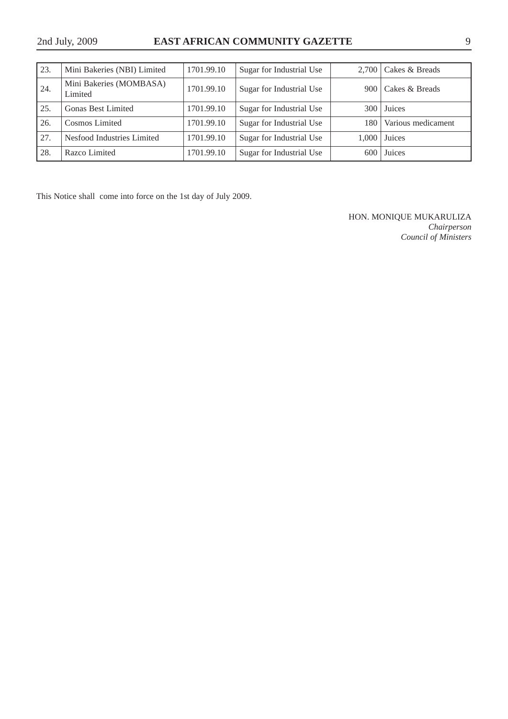| 23.  | Mini Bakeries (NBI) Limited        | 1701.99.10 | Sugar for Industrial Use | 2,700            | Cakes & Breads     |
|------|------------------------------------|------------|--------------------------|------------------|--------------------|
| 124. | Mini Bakeries (MOMBASA)<br>Limited | 1701.99.10 | Sugar for Industrial Use | $900-1$          | Cakes & Breads     |
| 25.  | <b>Gonas Best Limited</b>          | 1701.99.10 | Sugar for Industrial Use | 300 <sup>1</sup> | Juices             |
| 26.  | <b>Cosmos Limited</b>              | 1701.99.10 | Sugar for Industrial Use | 180-             | Various medicament |
| 27.  | Nesfood Industries Limited         | 1701.99.10 | Sugar for Industrial Use | 1.000            | Juices             |
| 28.  | Razco Limited                      | 1701.99.10 | Sugar for Industrial Use | 600              | Juices             |

This Notice shall come into force on the 1st day of July 2009.

HON. MONIQUE MUKARULIZA *Chairperson Council of Ministers*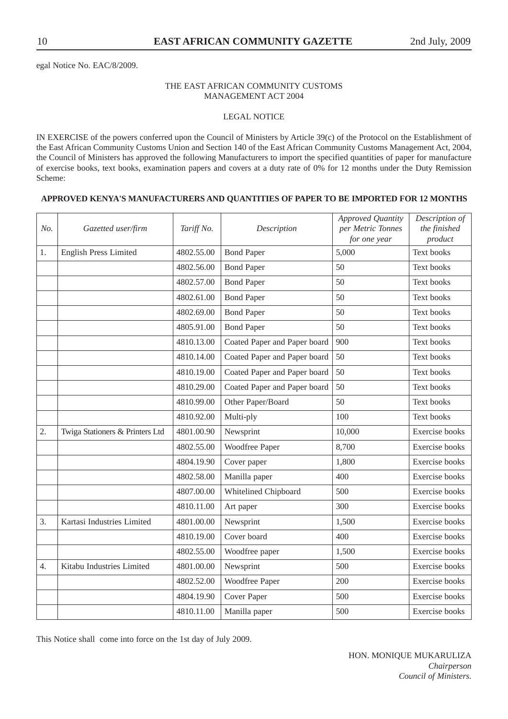egal Notice No. EAC/8/2009.

# THE EAST AFRICAN COMMUNITY CUSTOMS MANAGEMENT ACT 2004

# LEGAL NOTICE

IN EXERCISE of the powers conferred upon the Council of Ministers by Article 39(c) of the Protocol on the Establishment of the East African Community Customs Union and Section 140 of the East African Community Customs Management Act, 2004, the Council of Ministers has approved the following Manufacturers to import the specified quantities of paper for manufacture of exercise books, text books, examination papers and covers at a duty rate of 0% for 12 months under the Duty Remission Scheme:

# **APPROVED KENYA'S MANUFACTURERS AND QUANTITIES OF PAPER TO BE IMPORTED FOR 12 MONTHS**

| No.              | Gazetted user/firm              | Tariff No. | Description                  | Approved Quantity<br>per Metric Tonnes<br>for one year | Description of<br>the finished<br>product |
|------------------|---------------------------------|------------|------------------------------|--------------------------------------------------------|-------------------------------------------|
| 1.               | <b>English Press Limited</b>    | 4802.55.00 | <b>Bond Paper</b>            | 5,000                                                  | Text books                                |
|                  |                                 | 4802.56.00 | <b>Bond Paper</b>            | 50                                                     | Text books                                |
|                  |                                 | 4802.57.00 | <b>Bond Paper</b>            | 50                                                     | Text books                                |
|                  |                                 | 4802.61.00 | <b>Bond Paper</b>            | 50                                                     | Text books                                |
|                  |                                 | 4802.69.00 | <b>Bond Paper</b>            | 50                                                     | Text books                                |
|                  |                                 | 4805.91.00 | <b>Bond Paper</b>            | 50                                                     | Text books                                |
|                  |                                 | 4810.13.00 | Coated Paper and Paper board | 900                                                    | Text books                                |
|                  |                                 | 4810.14.00 | Coated Paper and Paper board | 50                                                     | Text books                                |
|                  |                                 | 4810.19.00 | Coated Paper and Paper board | 50                                                     | Text books                                |
|                  |                                 | 4810.29.00 | Coated Paper and Paper board | 50                                                     | Text books                                |
|                  |                                 | 4810.99.00 | Other Paper/Board            | 50                                                     | <b>Text books</b>                         |
|                  |                                 | 4810.92.00 | Multi-ply                    | 100                                                    | Text books                                |
| 2.               | Twiga Stationers & Printers Ltd | 4801.00.90 | Newsprint                    | 10,000                                                 | Exercise books                            |
|                  |                                 | 4802.55.00 | Woodfree Paper               | 8,700                                                  | Exercise books                            |
|                  |                                 | 4804.19.90 | Cover paper                  | 1,800                                                  | <b>Exercise</b> books                     |
|                  |                                 | 4802.58.00 | Manilla paper                | 400                                                    | Exercise books                            |
|                  |                                 | 4807.00.00 | Whitelined Chipboard         | 500                                                    | Exercise books                            |
|                  |                                 | 4810.11.00 | Art paper                    | 300                                                    | Exercise books                            |
| 3.               | Kartasi Industries Limited      | 4801.00.00 | Newsprint                    | 1,500                                                  | Exercise books                            |
|                  |                                 | 4810.19.00 | Cover board                  | 400                                                    | <b>Exercise</b> books                     |
|                  |                                 | 4802.55.00 | Woodfree paper               | 1,500                                                  | Exercise books                            |
| $\overline{4}$ . | Kitabu Industries Limited       | 4801.00.00 | Newsprint                    | 500                                                    | Exercise books                            |
|                  |                                 | 4802.52.00 | Woodfree Paper               | 200                                                    | Exercise books                            |
|                  |                                 | 4804.19.90 | Cover Paper                  | 500                                                    | Exercise books                            |
|                  |                                 | 4810.11.00 | Manilla paper                | 500                                                    | Exercise books                            |

This Notice shall come into force on the 1st day of July 2009.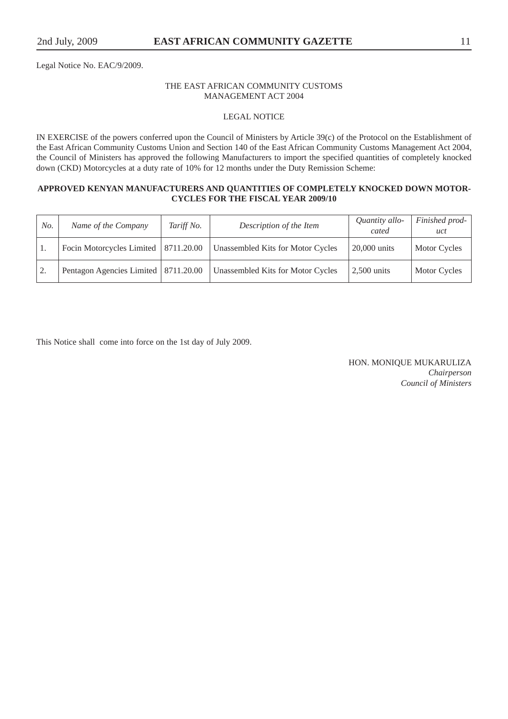Legal Notice No. EAC/9/2009.

# THE EAST AFRICAN COMMUNITY CUSTOMS MANAGEMENT ACT 2004

# LEGAL NOTICE

IN EXERCISE of the powers conferred upon the Council of Ministers by Article 39(c) of the Protocol on the Establishment of the East African Community Customs Union and Section 140 of the East African Community Customs Management Act 2004, the Council of Ministers has approved the following Manufacturers to import the specified quantities of completely knocked down (CKD) Motorcycles at a duty rate of 10% for 12 months under the Duty Remission Scheme:

# **APPROVED KENYAN MANUFACTURERS AND QUANTITIES OF COMPLETELY KNOCKED DOWN MOTOR-CYCLES FOR THE FISCAL YEAR 2009/10**

| No.            | Name of the Company                    | Tariff No. | Description of the Item           | Quantity allo-<br>cated | Finished prod-<br>uct |
|----------------|----------------------------------------|------------|-----------------------------------|-------------------------|-----------------------|
|                | Focin Motorcycles Limited              | 8711.20.00 | Unassembled Kits for Motor Cycles | $20,000$ units          | Motor Cycles          |
| $^{\prime}$ 2. | Pentagon Agencies Limited   8711.20.00 |            | Unassembled Kits for Motor Cycles | $2,500$ units           | Motor Cycles          |

This Notice shall come into force on the 1st day of July 2009.

HON. MONIQUE MUKARULIZA *Chairperson Council of Ministers*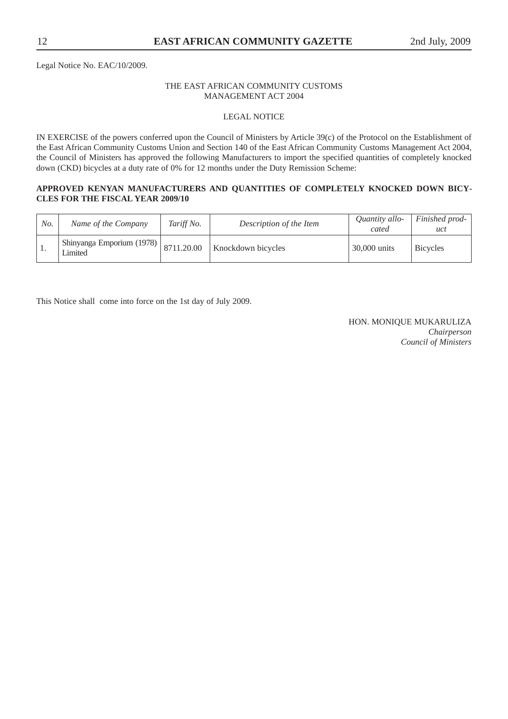Legal Notice No. EAC/10/2009.

# THE EAST AFRICAN COMMUNITY CUSTOMS MANAGEMENT ACT 2004

# LEGAL NOTICE

IN EXERCISE of the powers conferred upon the Council of Ministers by Article 39(c) of the Protocol on the Establishment of the East African Community Customs Union and Section 140 of the East African Community Customs Management Act 2004, the Council of Ministers has approved the following Manufacturers to import the specified quantities of completely knocked down (CKD) bicycles at a duty rate of 0% for 12 months under the Duty Remission Scheme:

# **APPROVED KENYAN MANUFACTURERS AND QUANTITIES OF COMPLETELY KNOCKED DOWN BICY-CLES FOR THE FISCAL YEAR 2009/10**

| No. | Name of the Company                  | Tariff No. | Description of the Item | Quantity allo-<br>cated | Finished prod-<br>uct |
|-----|--------------------------------------|------------|-------------------------|-------------------------|-----------------------|
| . . | Shinyanga Emporium (1978)<br>Limited | 8711.20.00 | Knockdown bicycles      | 30,000 units            | <b>Bicycles</b>       |

This Notice shall come into force on the 1st day of July 2009.

HON. MONIQUE MUKARULIZA *Chairperson Council of Ministers*